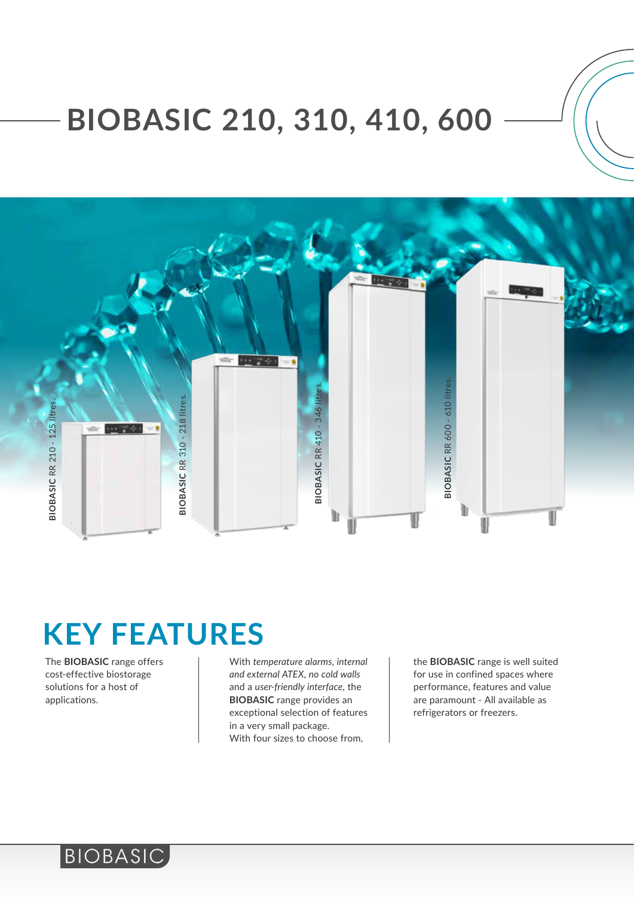# **BIOBASIC 210, 310, 410, 600**



The **BIOBASIC** range offers cost-effective biostorage solutions for a host of applications.

BIOBASIC

With *temperature alarms*, *internal and external ATEX, no cold walls* and a *user-friendly interface*, the **BIOBASIC** range provides an exceptional selection of features in a very small package. With four sizes to choose from,

the **BIOBASIC** range is well suited for use in confined spaces where performance, features and value are paramount - All available as refrigerators or freezers.